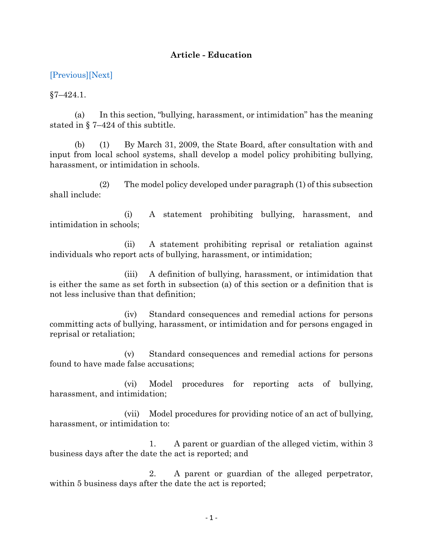## **Article - Education**

[\[Previous\]](http://mgaleg.maryland.gov/2021RS/Statute_Web/ged/7-424.pdf)[\[Next\]](http://mgaleg.maryland.gov/2021RS/Statute_Web/ged/7-424.2.pdf)

 $§7 - 424.1.$ 

(a) In this section, "bullying, harassment, or intimidation" has the meaning stated in § 7–424 of this subtitle.

(b) (1) By March 31, 2009, the State Board, after consultation with and input from local school systems, shall develop a model policy prohibiting bullying, harassment, or intimidation in schools.

(2) The model policy developed under paragraph (1) of this subsection shall include:

(i) A statement prohibiting bullying, harassment, and intimidation in schools;

(ii) A statement prohibiting reprisal or retaliation against individuals who report acts of bullying, harassment, or intimidation;

(iii) A definition of bullying, harassment, or intimidation that is either the same as set forth in subsection (a) of this section or a definition that is not less inclusive than that definition;

(iv) Standard consequences and remedial actions for persons committing acts of bullying, harassment, or intimidation and for persons engaged in reprisal or retaliation;

(v) Standard consequences and remedial actions for persons found to have made false accusations;

(vi) Model procedures for reporting acts of bullying, harassment, and intimidation;

(vii) Model procedures for providing notice of an act of bullying, harassment, or intimidation to:

1. A parent or guardian of the alleged victim, within 3 business days after the date the act is reported; and

2. A parent or guardian of the alleged perpetrator, within 5 business days after the date the act is reported;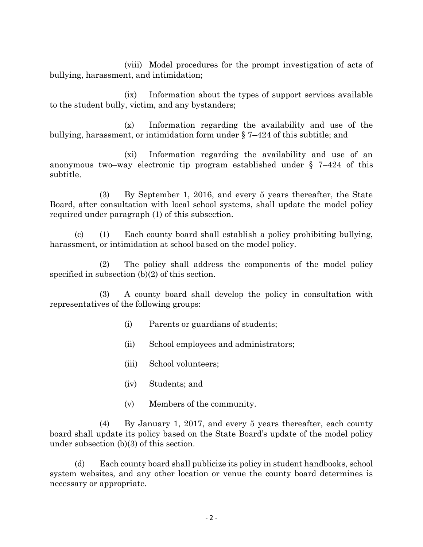(viii) Model procedures for the prompt investigation of acts of bullying, harassment, and intimidation;

(ix) Information about the types of support services available to the student bully, victim, and any bystanders;

(x) Information regarding the availability and use of the bullying, harassment, or intimidation form under § 7–424 of this subtitle; and

(xi) Information regarding the availability and use of an anonymous two–way electronic tip program established under § 7–424 of this subtitle.

(3) By September 1, 2016, and every 5 years thereafter, the State Board, after consultation with local school systems, shall update the model policy required under paragraph (1) of this subsection.

(c) (1) Each county board shall establish a policy prohibiting bullying, harassment, or intimidation at school based on the model policy.

(2) The policy shall address the components of the model policy specified in subsection (b)(2) of this section.

(3) A county board shall develop the policy in consultation with representatives of the following groups:

- (i) Parents or guardians of students;
- (ii) School employees and administrators;
- (iii) School volunteers;
- (iv) Students; and
- (v) Members of the community.

(4) By January 1, 2017, and every 5 years thereafter, each county board shall update its policy based on the State Board's update of the model policy under subsection (b)(3) of this section.

(d) Each county board shall publicize its policy in student handbooks, school system websites, and any other location or venue the county board determines is necessary or appropriate.